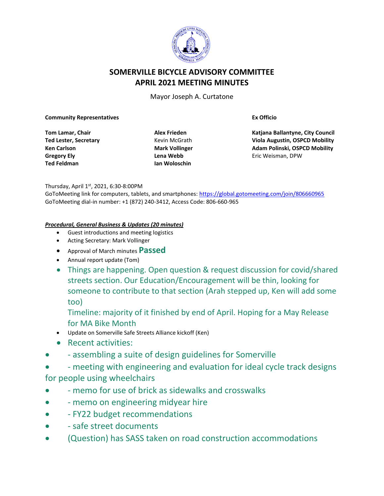

# **SOMERVILLE BICYCLE ADVISORY COMMITTEE APRIL 2021 MEETING MINUTES**

Mayor Joseph A. Curtatone

#### **Community Representatives**

**Tom Lamar, Chair Ted Lester, Secretary Ken Carlson Gregory Ely Ted Feldman**

**Alex Frieden** Kevin McGrath **Mark Vollinger Lena Webb Ian Woloschin**

**Ex Officio**

**Katjana Ballantyne, City Council Viola Augustin, OSPCD Mobility Adam Polinski, OSPCD Mobility** Eric Weisman, DPW

#### Thursday, April 1st, 2021, 6:30-8:00PM

GoToMeeting link for computers, tablets, and smartphones:<https://global.gotomeeting.com/join/806660965> GoToMeeting dial-in number: +1 (872) 240-3412, Access Code: 806-660-965

#### *Procedural, General Business & Updates (20 minutes)*

- Guest introductions and meeting logistics
- Acting Secretary: Mark Vollinger
- Approval of March minutes **Passed**
- Annual report update (Tom)
- Things are happening. Open question & request discussion for covid/shared streets section. Our Education/Encouragement will be thin, looking for someone to contribute to that section (Arah stepped up, Ken will add some too)

Timeline: majority of it finished by end of April. Hoping for a May Release for MA Bike Month

- Update on Somerville Safe Streets Alliance kickoff (Ken)
- Recent activities:
- - assembling a suite of design guidelines for Somerville
- - meeting with engineering and evaluation for ideal cycle track designs

## for people using wheelchairs

- - memo for use of brick as sidewalks and crosswalks
- – memo on engineering midyear hire
- - FY22 budget recommendations
- - safe street documents
- (Question) has SASS taken on road construction accommodations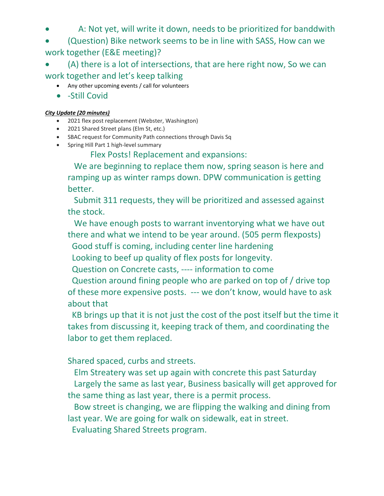- A: Not yet, will write it down, needs to be prioritized for banddwith
- (Question) Bike network seems to be in line with SASS, How can we work together (E&E meeting)?
- (A) there is a lot of intersections, that are here right now, So we can work together and let's keep talking
	- Any other upcoming events / call for volunteers
	- -Still Covid

### *City Update (20 minutes)*

- 2021 flex post replacement (Webster, Washington)
- 2021 Shared Street plans (Elm St, etc.)
- SBAC request for Community Path connections through Davis Sq
- Spring Hill Part 1 high-level summary

# Flex Posts! Replacement and expansions:

 We are beginning to replace them now, spring season is here and ramping up as winter ramps down. DPW communication is getting better.

 Submit 311 requests, they will be prioritized and assessed against the stock.

 We have enough posts to warrant inventorying what we have out there and what we intend to be year around. (505 perm flexposts)

Good stuff is coming, including center line hardening

Looking to beef up quality of flex posts for longevity.

Question on Concrete casts, ---- information to come

 Question around fining people who are parked on top of / drive top of these more expensive posts. --- we don't know, would have to ask about that

 KB brings up that it is not just the cost of the post itself but the time it takes from discussing it, keeping track of them, and coordinating the labor to get them replaced.

Shared spaced, curbs and streets.

 Elm Streatery was set up again with concrete this past Saturday Largely the same as last year, Business basically will get approved for the same thing as last year, there is a permit process.

 Bow street is changing, we are flipping the walking and dining from last year. We are going for walk on sidewalk, eat in street.

Evaluating Shared Streets program.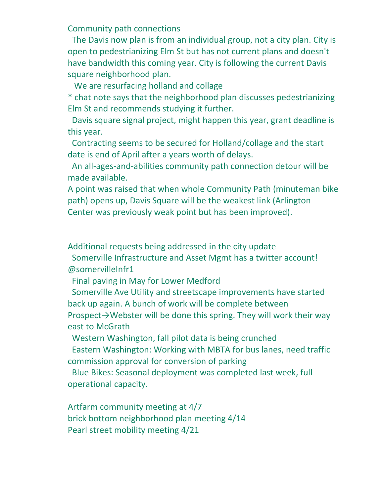Community path connections

 The Davis now plan is from an individual group, not a city plan. City is open to pedestrianizing Elm St but has not current plans and doesn't have bandwidth this coming year. City is following the current Davis square neighborhood plan.

We are resurfacing holland and collage

\* chat note says that the neighborhood plan discusses pedestrianizing Elm St and recommends studying it further.

 Davis square signal project, might happen this year, grant deadline is this year.

 Contracting seems to be secured for Holland/collage and the start date is end of April after a years worth of delays.

 An all-ages-and-abilities community path connection detour will be made available.

A point was raised that when whole Community Path (minuteman bike path) opens up, Davis Square will be the weakest link (Arlington Center was previously weak point but has been improved).

Additional requests being addressed in the city update

 Somerville Infrastructure and Asset Mgmt has a twitter account! @somervilleInfr1

Final paving in May for Lower Medford

 Somerville Ave Utility and streetscape improvements have started back up again. A bunch of work will be complete between

Prospect→Webster will be done this spring. They will work their way east to McGrath

Western Washington, fall pilot data is being crunched

 Eastern Washington: Working with MBTA for bus lanes, need traffic commission approval for conversion of parking

 Blue Bikes: Seasonal deployment was completed last week, full operational capacity.

Artfarm community meeting at 4/7 brick bottom neighborhood plan meeting 4/14 Pearl street mobility meeting 4/21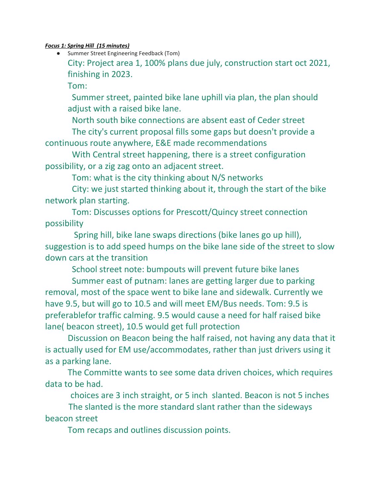### *Focus 1: Spring Hill (15 minutes)*

● Summer Street Engineering Feedback (Tom)

City: Project area 1, 100% plans due july, construction start oct 2021, finishing in 2023.

Tom:

 Summer street, painted bike lane uphill via plan, the plan should adjust with a raised bike lane.

North south bike connections are absent east of Ceder street

 The city's current proposal fills some gaps but doesn't provide a continuous route anywhere, E&E made recommendations

 With Central street happening, there is a street configuration possibility, or a zig zag onto an adjacent street.

Tom: what is the city thinking about N/S networks

 City: we just started thinking about it, through the start of the bike network plan starting.

 Tom: Discusses options for Prescott/Quincy street connection possibility

 Spring hill, bike lane swaps directions (bike lanes go up hill), suggestion is to add speed humps on the bike lane side of the street to slow down cars at the transition

School street note: bumpouts will prevent future bike lanes

 Summer east of putnam: lanes are getting larger due to parking removal, most of the space went to bike lane and sidewalk. Currently we have 9.5, but will go to 10.5 and will meet EM/Bus needs. Tom: 9.5 is preferablefor traffic calming. 9.5 would cause a need for half raised bike lane( beacon street), 10.5 would get full protection

Discussion on Beacon being the half raised, not having any data that it is actually used for EM use/accommodates, rather than just drivers using it as a parking lane.

The Committe wants to see some data driven choices, which requires data to be had.

choices are 3 inch straight, or 5 inch slanted. Beacon is not 5 inches

 The slanted is the more standard slant rather than the sideways beacon street

Tom recaps and outlines discussion points.